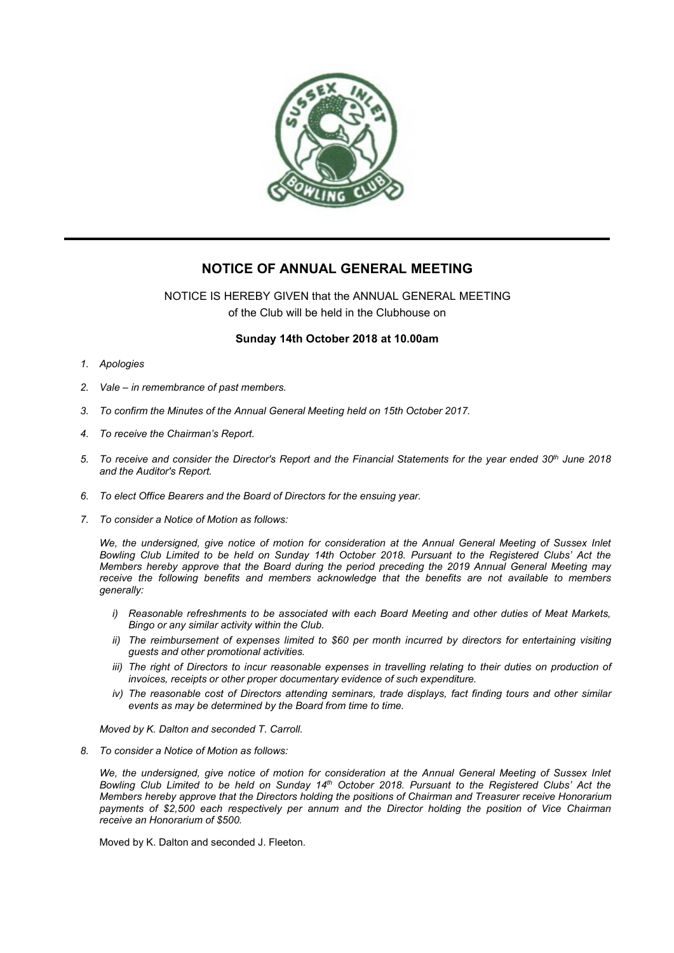

## **NOTICE OF ANNUAL GENERAL MEETING**

NOTICE IS HEREBY GIVEN that the ANNUAL GENERAL MEETING of the Club will be held in the Clubhouse on

## **Sunday 14th October 2018 at 10.00am**

- *1. Apologies*
- *2. Vale – in remembrance of past members.*
- *3. To confirm the Minutes of the AnnualGeneral Meeting held on 15th October 2017.*
- *4. To receive the Chairman's Report.*
- 5. To receive and consider the Director's Report and the Financial Statements for the year ended 30th June 2018 *and the Auditor's Report.*
- *6. To elect Office Bearers and the Board of Directors for the ensuing year.*
- *7. To consider a Notice of Motion as follows:*

We, the undersigned, give notice of motion for consideration at the Annual General Meeting of Sussex Inlet Bowling Club Limited to be held on Sunday 14th October 2018. Pursuant to the Registered Clubs' Act the *Members hereby approve that the Board during the period preceding the 2019 Annual General Meeting may receive the following benefits and members acknowledge that the benefits are not available to members generally:*

- *i) Reasonable refreshments to be associated with each Board Meeting and other duties of Meat Markets, Bingo or any similaractivity within the Club.*
- *ii) The reimbursement of expenses limited to \$60 per month incurred by directors for entertaining visiting guests and other promotional activities.*
- iii) The right of Directors to incur reasonable expenses in travelling relating to their duties on production of *invoices, receipts or other proper documentary evidence of such expenditure.*
- *iv) The reasonable cost of Directors attending seminars, trade displays, fact finding tours and other similar events as may be determined by the Board from time to time.*

*Moved by K. Dalton and seconded T. Carroll.*

*8. To consider a Notice of Motion as follows:*

We, the undersigned, give notice of motion for consideration at the Annual General Meeting of Sussex Inlet Bowling Club Limited to be held on Sunday 14th October 2018. Pursuant to the Registered Clubs' Act the *Members hereby approve that the Directors holding the positions of Chairman and Treasurer receive Honorarium payments of \$2,500 each respectively per annum and the Director holding the position of Vice Chairman receive an Honorarium of \$500.*

Moved by K. Dalton and seconded J. Fleeton.